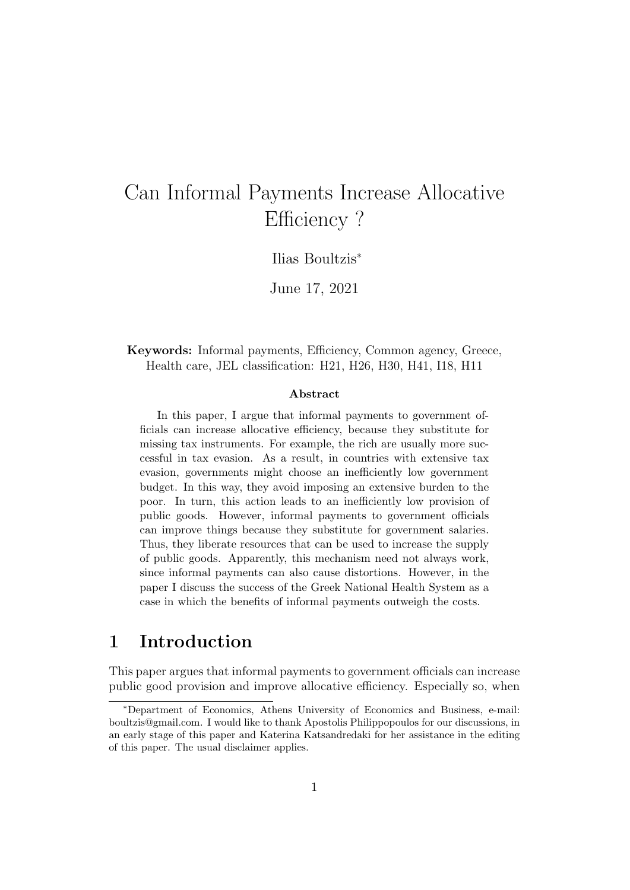# Can Informal Payments Increase Allocative Efficiency?

Ilias Boultzis<sup>∗</sup>

June 17, 2021

### Keywords: Informal payments, Efficiency, Common agency, Greece, Health care, JEL classification: H21, H26, H30, H41, I18, H11

#### Abstract

In this paper, I argue that informal payments to government officials can increase allocative efficiency, because they substitute for missing tax instruments. For example, the rich are usually more successful in tax evasion. As a result, in countries with extensive tax evasion, governments might choose an inefficiently low government budget. In this way, they avoid imposing an extensive burden to the poor. In turn, this action leads to an inefficiently low provision of public goods. However, informal payments to government officials can improve things because they substitute for government salaries. Thus, they liberate resources that can be used to increase the supply of public goods. Apparently, this mechanism need not always work, since informal payments can also cause distortions. However, in the paper I discuss the success of the Greek National Health System as a case in which the benefits of informal payments outweigh the costs.

## 1 Introduction

This paper argues that informal payments to government officials can increase public good provision and improve allocative efficiency. Especially so, when

<sup>∗</sup>Department of Economics, Athens University of Economics and Business, e-mail: boultzis@gmail.com. I would like to thank Apostolis Philippopoulos for our discussions, in an early stage of this paper and Katerina Katsandredaki for her assistance in the editing of this paper. The usual disclaimer applies.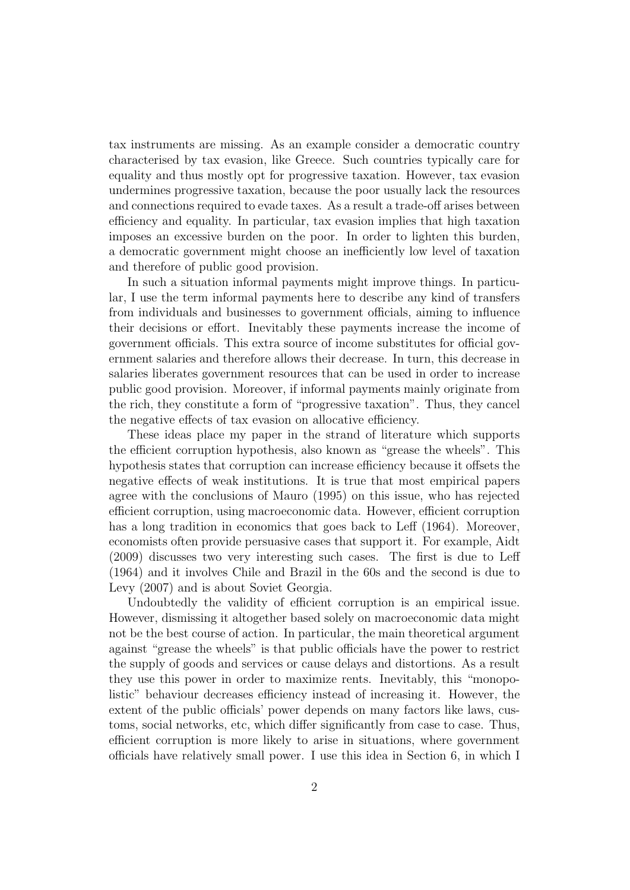tax instruments are missing. As an example consider a democratic country characterised by tax evasion, like Greece. Such countries typically care for equality and thus mostly opt for progressive taxation. However, tax evasion undermines progressive taxation, because the poor usually lack the resources and connections required to evade taxes. As a result a trade-off arises between efficiency and equality. In particular, tax evasion implies that high taxation imposes an excessive burden on the poor. In order to lighten this burden, a democratic government might choose an inefficiently low level of taxation and therefore of public good provision.

In such a situation informal payments might improve things. In particular, I use the term informal payments here to describe any kind of transfers from individuals and businesses to government officials, aiming to influence their decisions or effort. Inevitably these payments increase the income of government officials. This extra source of income substitutes for official government salaries and therefore allows their decrease. In turn, this decrease in salaries liberates government resources that can be used in order to increase public good provision. Moreover, if informal payments mainly originate from the rich, they constitute a form of "progressive taxation". Thus, they cancel the negative effects of tax evasion on allocative efficiency.

These ideas place my paper in the strand of literature which supports the efficient corruption hypothesis, also known as "grease the wheels". This hypothesis states that corruption can increase efficiency because it offsets the negative effects of weak institutions. It is true that most empirical papers agree with the conclusions of Mauro (1995) on this issue, who has rejected efficient corruption, using macroeconomic data. However, efficient corruption has a long tradition in economics that goes back to Leff (1964). Moreover, economists often provide persuasive cases that support it. For example, Aidt (2009) discusses two very interesting such cases. The first is due to Leff (1964) and it involves Chile and Brazil in the 60s and the second is due to Levy (2007) and is about Soviet Georgia.

Undoubtedly the validity of efficient corruption is an empirical issue. However, dismissing it altogether based solely on macroeconomic data might not be the best course of action. In particular, the main theoretical argument against "grease the wheels" is that public officials have the power to restrict the supply of goods and services or cause delays and distortions. As a result they use this power in order to maximize rents. Inevitably, this "monopolistic" behaviour decreases efficiency instead of increasing it. However, the extent of the public officials' power depends on many factors like laws, customs, social networks, etc, which differ significantly from case to case. Thus, efficient corruption is more likely to arise in situations, where government officials have relatively small power. I use this idea in Section 6, in which I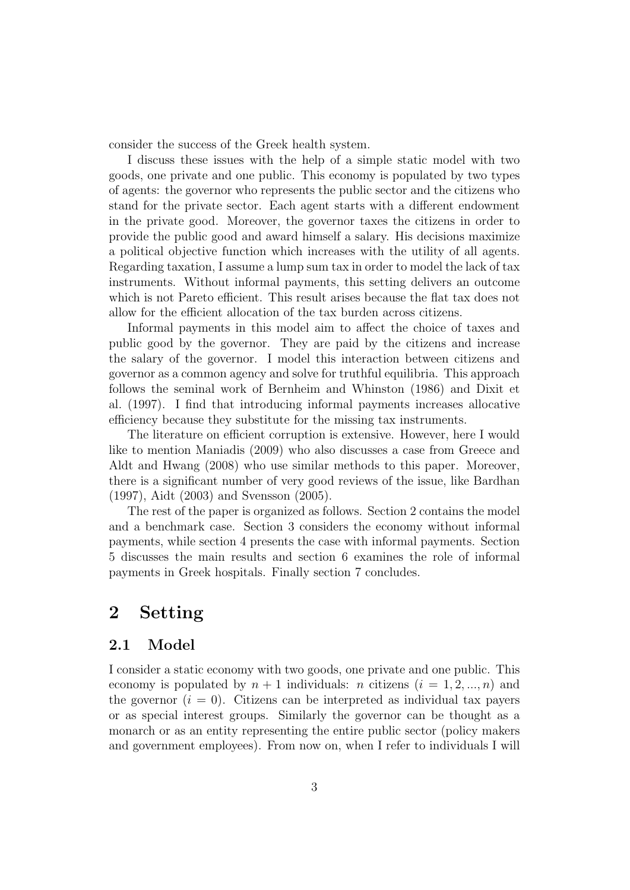consider the success of the Greek health system.

I discuss these issues with the help of a simple static model with two goods, one private and one public. This economy is populated by two types of agents: the governor who represents the public sector and the citizens who stand for the private sector. Each agent starts with a different endowment in the private good. Moreover, the governor taxes the citizens in order to provide the public good and award himself a salary. His decisions maximize a political objective function which increases with the utility of all agents. Regarding taxation, I assume a lump sum tax in order to model the lack of tax instruments. Without informal payments, this setting delivers an outcome which is not Pareto efficient. This result arises because the flat tax does not allow for the efficient allocation of the tax burden across citizens.

Informal payments in this model aim to affect the choice of taxes and public good by the governor. They are paid by the citizens and increase the salary of the governor. I model this interaction between citizens and governor as a common agency and solve for truthful equilibria. This approach follows the seminal work of Bernheim and Whinston (1986) and Dixit et al. (1997). I find that introducing informal payments increases allocative efficiency because they substitute for the missing tax instruments.

The literature on efficient corruption is extensive. However, here I would like to mention Maniadis (2009) who also discusses a case from Greece and Aldt and Hwang (2008) who use similar methods to this paper. Moreover, there is a significant number of very good reviews of the issue, like Bardhan (1997), Aidt (2003) and Svensson (2005).

The rest of the paper is organized as follows. Section 2 contains the model and a benchmark case. Section 3 considers the economy without informal payments, while section 4 presents the case with informal payments. Section 5 discusses the main results and section 6 examines the role of informal payments in Greek hospitals. Finally section 7 concludes.

## 2 Setting

### 2.1 Model

I consider a static economy with two goods, one private and one public. This economy is populated by  $n + 1$  individuals: n citizens  $(i = 1, 2, ..., n)$  and the governor  $(i = 0)$ . Citizens can be interpreted as individual tax payers or as special interest groups. Similarly the governor can be thought as a monarch or as an entity representing the entire public sector (policy makers and government employees). From now on, when I refer to individuals I will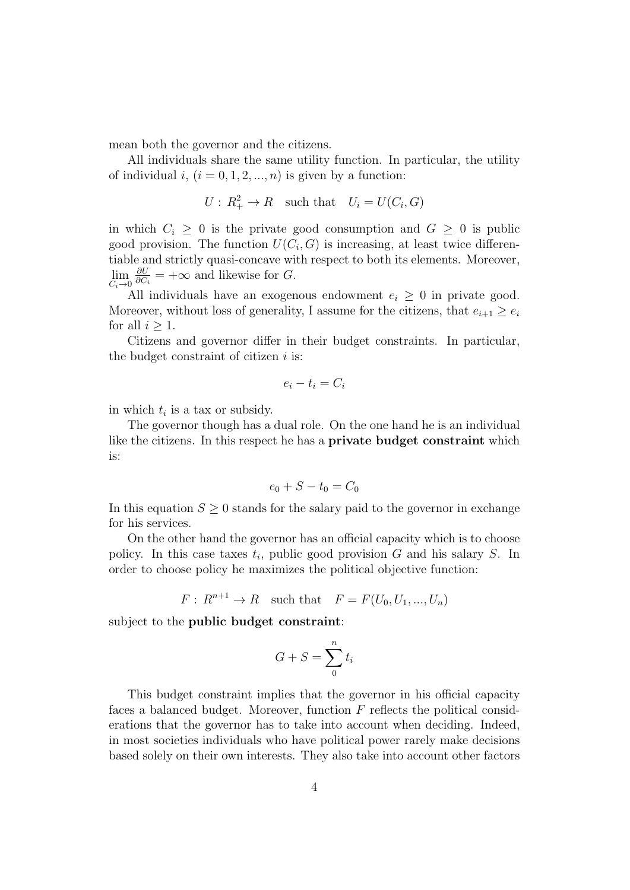mean both the governor and the citizens.

All individuals share the same utility function. In particular, the utility of individual i,  $(i = 0, 1, 2, ..., n)$  is given by a function:

$$
U: R_+^2 \to R \quad \text{such that} \quad U_i = U(C_i, G)
$$

in which  $C_i \geq 0$  is the private good consumption and  $G \geq 0$  is public good provision. The function  $U(C_i, G)$  is increasing, at least twice differentiable and strictly quasi-concave with respect to both its elements. Moreover,  $\lim_{C_i \to 0}$ ∂U  $\frac{\partial U}{\partial C_i}$  = + $\infty$  and likewise for G.

All individuals have an exogenous endowment  $e_i \geq 0$  in private good. Moreover, without loss of generality, I assume for the citizens, that  $e_{i+1} \geq e_i$ for all  $i \geq 1$ .

Citizens and governor differ in their budget constraints. In particular, the budget constraint of citizen  $i$  is:

$$
e_i - t_i = C_i
$$

in which  $t_i$  is a tax or subsidy.

The governor though has a dual role. On the one hand he is an individual like the citizens. In this respect he has a private budget constraint which is:

$$
e_0+S-t_0=C_0
$$

In this equation  $S \geq 0$  stands for the salary paid to the governor in exchange for his services.

On the other hand the governor has an official capacity which is to choose policy. In this case taxes  $t_i$ , public good provision G and his salary S. In order to choose policy he maximizes the political objective function:

$$
F: R^{n+1} \to R \quad \text{such that} \quad F = F(U_0, U_1, \dots, U_n)
$$

subject to the public budget constraint:

$$
G + S = \sum_{0}^{n} t_i
$$

This budget constraint implies that the governor in his official capacity faces a balanced budget. Moreover, function  $F$  reflects the political considerations that the governor has to take into account when deciding. Indeed, in most societies individuals who have political power rarely make decisions based solely on their own interests. They also take into account other factors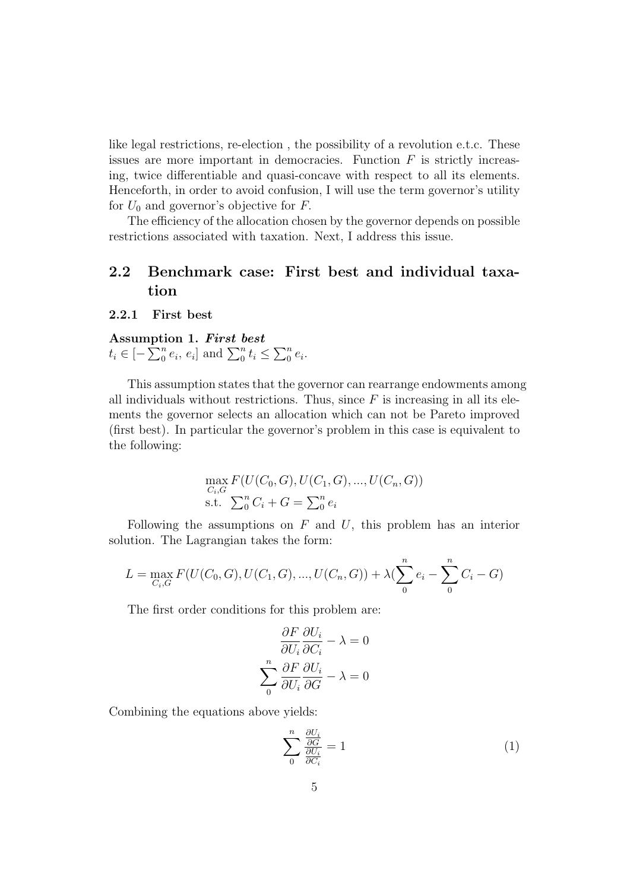like legal restrictions, re-election , the possibility of a revolution e.t.c. These issues are more important in democracies. Function  $F$  is strictly increasing, twice differentiable and quasi-concave with respect to all its elements. Henceforth, in order to avoid confusion, I will use the term governor's utility for  $U_0$  and governor's objective for  $F$ .

The efficiency of the allocation chosen by the governor depends on possible restrictions associated with taxation. Next, I address this issue.

## 2.2 Benchmark case: First best and individual taxation

2.2.1 First best

**Assumption 1.** *First best*  

$$
t_i \in [-\sum_{0}^{n} e_i, e_i]
$$
 and  $\sum_{0}^{n} t_i \le \sum_{0}^{n} e_i$ .

This assumption states that the governor can rearrange endowments among all individuals without restrictions. Thus, since  $F$  is increasing in all its elements the governor selects an allocation which can not be Pareto improved (first best). In particular the governor's problem in this case is equivalent to the following:

$$
\max_{C_i, G} F(U(C_0, G), U(C_1, G), ..., U(C_n, G))
$$
  
s.t. 
$$
\sum_{0}^{n} C_i + G = \sum_{0}^{n} e_i
$$

Following the assumptions on  $F$  and  $U$ , this problem has an interior solution. The Lagrangian takes the form:

$$
L = \max_{C_i, G} F(U(C_0, G), U(C_1, G), ..., U(C_n, G)) + \lambda \left(\sum_{i=0}^{n} e_i - \sum_{i=0}^{n} C_i - G\right)
$$

The first order conditions for this problem are:

$$
\frac{\partial F}{\partial U_i} \frac{\partial U_i}{\partial C_i} - \lambda = 0
$$

$$
\sum_{i=0}^{n} \frac{\partial F}{\partial U_i} \frac{\partial U_i}{\partial G} - \lambda = 0
$$

Combining the equations above yields:

$$
\sum_{0}^{n} \frac{\frac{\partial U_i}{\partial G}}{\frac{\partial U_i}{\partial C_i}} = 1
$$
\n(1)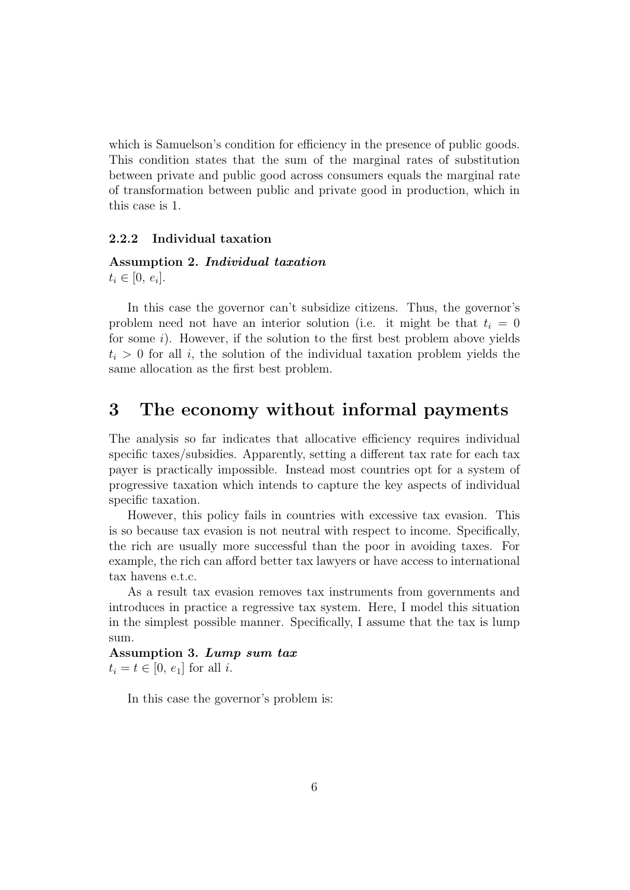which is Samuelson's condition for efficiency in the presence of public goods. This condition states that the sum of the marginal rates of substitution between private and public good across consumers equals the marginal rate of transformation between public and private good in production, which in this case is 1.

#### 2.2.2 Individual taxation

## Assumption 2. Individual taxation  $t_i \in [0, e_i].$

In this case the governor can't subsidize citizens. Thus, the governor's problem need not have an interior solution (i.e. it might be that  $t_i = 0$ for some  $i$ ). However, if the solution to the first best problem above yields  $t_i > 0$  for all i, the solution of the individual taxation problem yields the same allocation as the first best problem.

## 3 The economy without informal payments

The analysis so far indicates that allocative efficiency requires individual specific taxes/subsidies. Apparently, setting a different tax rate for each tax payer is practically impossible. Instead most countries opt for a system of progressive taxation which intends to capture the key aspects of individual specific taxation.

However, this policy fails in countries with excessive tax evasion. This is so because tax evasion is not neutral with respect to income. Specifically, the rich are usually more successful than the poor in avoiding taxes. For example, the rich can afford better tax lawyers or have access to international tax havens e.t.c.

As a result tax evasion removes tax instruments from governments and introduces in practice a regressive tax system. Here, I model this situation in the simplest possible manner. Specifically, I assume that the tax is lump sum.

Assumption 3. Lump sum tax  $t_i = t \in [0, e_1]$  for all i.

In this case the governor's problem is: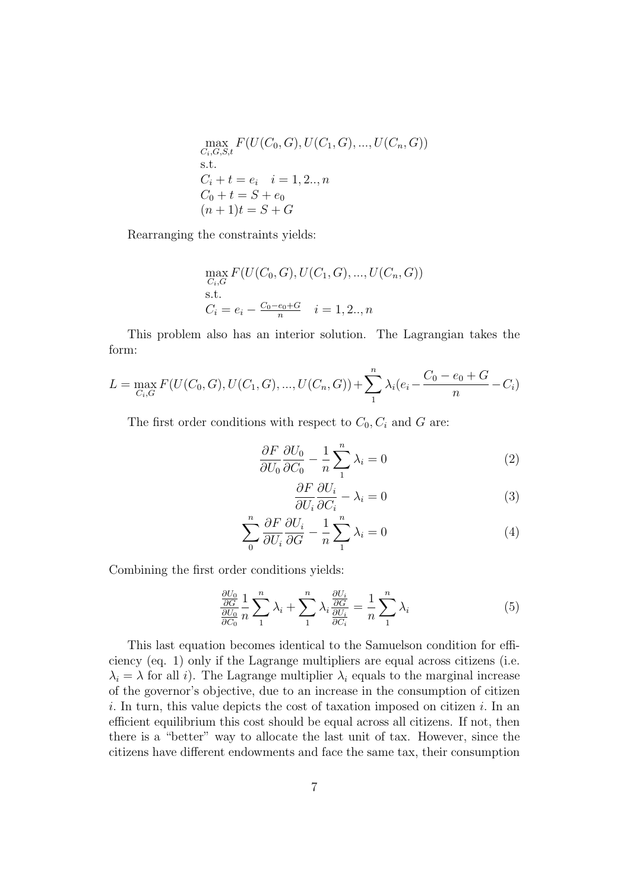$$
\max_{C_i, G, S, t} F(U(C_0, G), U(C_1, G), ..., U(C_n, G))
$$
  
s.t.  

$$
C_i + t = e_i \quad i = 1, 2..., n
$$
  

$$
C_0 + t = S + e_0
$$
  

$$
(n + 1)t = S + G
$$

Rearranging the constraints yields:

$$
\max_{C_i, G} F(U(C_0, G), U(C_1, G), ..., U(C_n, G))
$$
s.t.  

$$
C_i = e_i - \frac{C_0 - e_0 + G}{n} \quad i = 1, 2..., n
$$

This problem also has an interior solution. The Lagrangian takes the form:

$$
L = \max_{C_i, G} F(U(C_0, G), U(C_1, G), ..., U(C_n, G)) + \sum_{1}^{n} \lambda_i (e_i - \frac{C_0 - e_0 + G}{n} - C_i)
$$

The first order conditions with respect to  $C_0, C_i$  and G are:

$$
\frac{\partial F}{\partial U_0} \frac{\partial U_0}{\partial C_0} - \frac{1}{n} \sum_{1}^{n} \lambda_i = 0 \tag{2}
$$

$$
\frac{\partial F}{\partial U_i} \frac{\partial U_i}{\partial C_i} - \lambda_i = 0 \tag{3}
$$

$$
\sum_{0}^{n} \frac{\partial F}{\partial U_i} \frac{\partial U_i}{\partial G} - \frac{1}{n} \sum_{1}^{n} \lambda_i = 0 \tag{4}
$$

Combining the first order conditions yields:

$$
\frac{\frac{\partial U_0}{\partial G}}{\frac{\partial U_0}{\partial C_0}} \frac{1}{n} \sum_{1}^{n} \lambda_i + \sum_{1}^{n} \lambda_i \frac{\frac{\partial U_i}{\partial G}}{\frac{\partial U_i}{\partial C_i}} = \frac{1}{n} \sum_{1}^{n} \lambda_i
$$
\n(5)

This last equation becomes identical to the Samuelson condition for efficiency (eq. 1) only if the Lagrange multipliers are equal across citizens (i.e.  $\lambda_i = \lambda$  for all i). The Lagrange multiplier  $\lambda_i$  equals to the marginal increase of the governor's objective, due to an increase in the consumption of citizen  $i.$  In turn, this value depicts the cost of taxation imposed on citizen  $i.$  In an efficient equilibrium this cost should be equal across all citizens. If not, then there is a "better" way to allocate the last unit of tax. However, since the citizens have different endowments and face the same tax, their consumption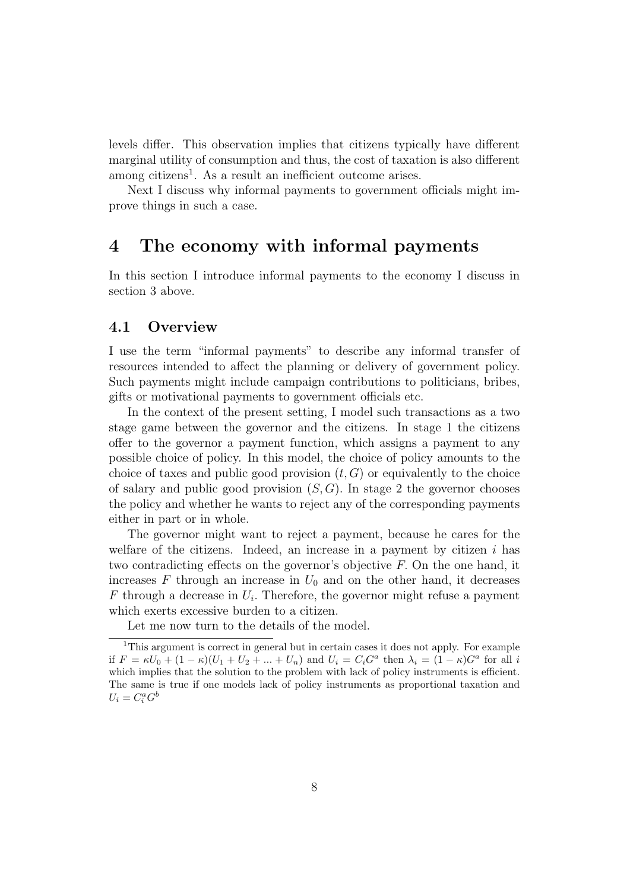levels differ. This observation implies that citizens typically have different marginal utility of consumption and thus, the cost of taxation is also different among citizens<sup>1</sup>. As a result an inefficient outcome arises.

Next I discuss why informal payments to government officials might improve things in such a case.

## 4 The economy with informal payments

In this section I introduce informal payments to the economy I discuss in section 3 above.

### 4.1 Overview

I use the term "informal payments" to describe any informal transfer of resources intended to affect the planning or delivery of government policy. Such payments might include campaign contributions to politicians, bribes, gifts or motivational payments to government officials etc.

In the context of the present setting, I model such transactions as a two stage game between the governor and the citizens. In stage 1 the citizens offer to the governor a payment function, which assigns a payment to any possible choice of policy. In this model, the choice of policy amounts to the choice of taxes and public good provision  $(t, G)$  or equivalently to the choice of salary and public good provision  $(S, G)$ . In stage 2 the governor chooses the policy and whether he wants to reject any of the corresponding payments either in part or in whole.

The governor might want to reject a payment, because he cares for the welfare of the citizens. Indeed, an increase in a payment by citizen  $i$  has two contradicting effects on the governor's objective F. On the one hand, it increases  $F$  through an increase in  $U_0$  and on the other hand, it decreases  $F$  through a decrease in  $U_i$ . Therefore, the governor might refuse a payment which exerts excessive burden to a citizen.

Let me now turn to the details of the model.

<sup>&</sup>lt;sup>1</sup>This argument is correct in general but in certain cases it does not apply. For example if  $F = \kappa U_0 + (1 - \kappa)(U_1 + U_2 + \dots + U_n)$  and  $U_i = C_i G^a$  then  $\lambda_i = (1 - \kappa)G^a$  for all i which implies that the solution to the problem with lack of policy instruments is efficient. The same is true if one models lack of policy instruments as proportional taxation and  $U_i = C_i^a G^b$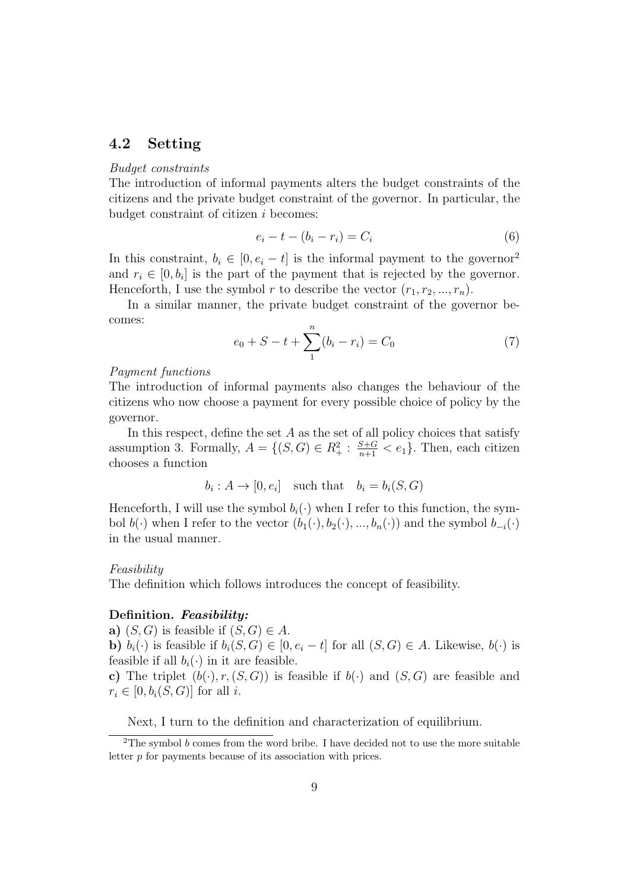### 4.2 Setting

#### Budget constraints

The introduction of informal payments alters the budget constraints of the citizens and the private budget constraint of the governor. In particular, the budget constraint of citizen i becomes:

$$
e_i - t - (b_i - r_i) = C_i \tag{6}
$$

In this constraint,  $b_i \in [0, e_i - t]$  is the informal payment to the governor<sup>2</sup> and  $r_i \in [0, b_i]$  is the part of the payment that is rejected by the governor. Henceforth, I use the symbol r to describe the vector  $(r_1, r_2, ..., r_n)$ .

In a similar manner, the private budget constraint of the governor becomes:

$$
e_0 + S - t + \sum_{1}^{n} (b_i - r_i) = C_0 \tag{7}
$$

#### Payment functions

The introduction of informal payments also changes the behaviour of the citizens who now choose a payment for every possible choice of policy by the governor.

In this respect, define the set  $A$  as the set of all policy choices that satisfy assumption 3. Formally,  $A = \{(S, G) \in R_+^2 : \frac{S+G}{n+1} < e_1\}$ . Then, each citizen chooses a function

$$
b_i: A \to [0, e_i] \quad \text{such that} \quad b_i = b_i(S, G)
$$

Henceforth, I will use the symbol  $b_i(\cdot)$  when I refer to this function, the symbol  $b(\cdot)$  when I refer to the vector  $(b_1(\cdot), b_2(\cdot), ..., b_n(\cdot))$  and the symbol  $b_{-i}(\cdot)$ in the usual manner.

#### Feasibility

The definition which follows introduces the concept of feasibility.

#### Definition. Feasibility:

a)  $(S, G)$  is feasible if  $(S, G) \in A$ .

**b**)  $b_i(\cdot)$  is feasible if  $b_i(S, G) \in [0, e_i - t]$  for all  $(S, G) \in A$ . Likewise,  $b(\cdot)$  is feasible if all  $b_i(\cdot)$  in it are feasible.

c) The triplet  $(b(\cdot), r, (S, G))$  is feasible if  $b(\cdot)$  and  $(S, G)$  are feasible and  $r_i \in [0, b_i(S, G)]$  for all i.

Next, I turn to the definition and characterization of equilibrium.

<sup>&</sup>lt;sup>2</sup>The symbol  $b$  comes from the word bribe. I have decided not to use the more suitable letter p for payments because of its association with prices.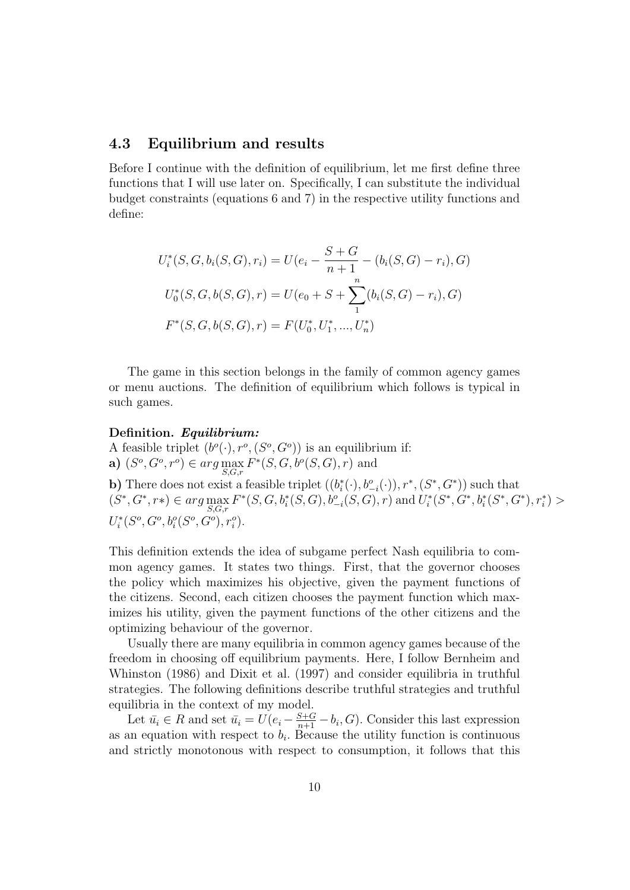### 4.3 Equilibrium and results

Before I continue with the definition of equilibrium, let me first define three functions that I will use later on. Specifically, I can substitute the individual budget constraints (equations 6 and 7) in the respective utility functions and define:

$$
U_i^*(S, G, b_i(S, G), r_i) = U(e_i - \frac{S + G}{n + 1} - (b_i(S, G) - r_i), G)
$$
  

$$
U_0^*(S, G, b(S, G), r) = U(e_0 + S + \sum_{1}^{n} (b_i(S, G) - r_i), G)
$$
  

$$
F^*(S, G, b(S, G), r) = F(U_0^*, U_1^*, ..., U_n^*)
$$

The game in this section belongs in the family of common agency games or menu auctions. The definition of equilibrium which follows is typical in such games.

#### Definition. Equilibrium:

A feasible triplet  $(b^o(\cdot), r^o, (S^o, G^o))$  is an equilibrium if: **a**)  $(S^o, G^o, r^o) \in arg \max_{S, G, r} F^*(S, G, b^o(S, G), r)$  and **b**) There does not exist a feasible triplet  $((b_i^*(\cdot), b_{-i}^o(\cdot)), r^*, (S^*, G^*))$  such that  $(S^*, G^*, r^*) \in arg \max_{S, G, r} F^*(S, G, b_i^*(S, G), b_{-i}^o(S, G), r)$  and  $U_i^*(S^*, G^*, b_i^*(S^*, G^*, r_i^*, r_i^*)$  $U_i^*(S^o, G^o, b_i^o(S^o, G^o), r_i^o).$ 

This definition extends the idea of subgame perfect Nash equilibria to common agency games. It states two things. First, that the governor chooses the policy which maximizes his objective, given the payment functions of the citizens. Second, each citizen chooses the payment function which maximizes his utility, given the payment functions of the other citizens and the optimizing behaviour of the governor.

Usually there are many equilibria in common agency games because of the freedom in choosing off equilibrium payments. Here, I follow Bernheim and Whinston (1986) and Dixit et al. (1997) and consider equilibria in truthful strategies. The following definitions describe truthful strategies and truthful equilibria in the context of my model.

Let  $\bar{u}_i \in R$  and set  $\bar{u}_i = U(e_i - \frac{S+G}{n+1} - b_i, G)$ . Consider this last expression as an equation with respect to  $b_i$ . Because the utility function is continuous and strictly monotonous with respect to consumption, it follows that this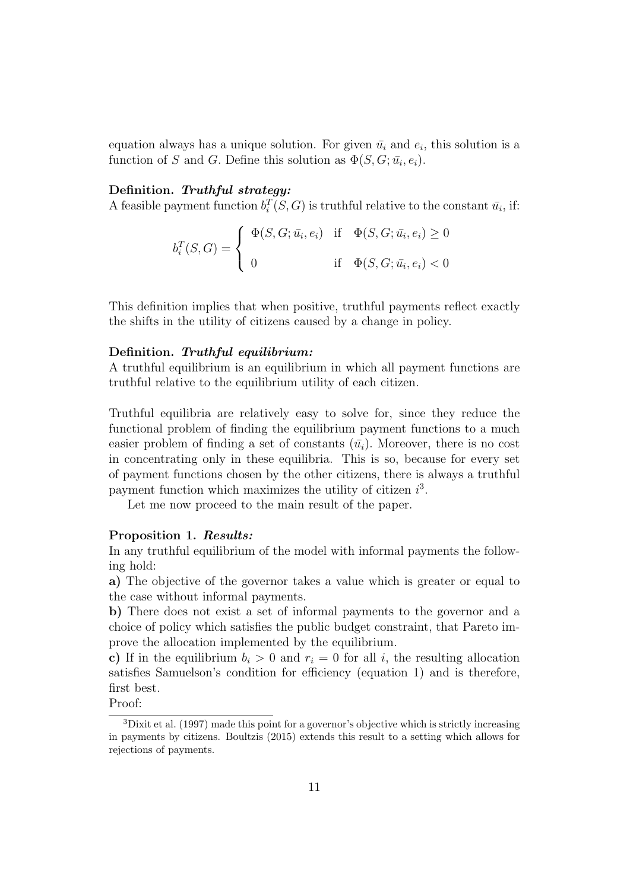equation always has a unique solution. For given  $\bar{u}_i$  and  $e_i$ , this solution is a function of S and G. Define this solution as  $\Phi(S, G; \bar{u}_i, e_i)$ .

#### Definition. Truthful strategy:

A feasible payment function  $b_i^T(S, G)$  is truthful relative to the constant  $\bar{u}_i$ , if:

$$
b_i^T(S, G) = \begin{cases} \Phi(S, G; \bar{u}_i, e_i) & \text{if } \Phi(S, G; \bar{u}_i, e_i) \ge 0 \\ 0 & \text{if } \Phi(S, G; \bar{u}_i, e_i) < 0 \end{cases}
$$

This definition implies that when positive, truthful payments reflect exactly the shifts in the utility of citizens caused by a change in policy.

#### Definition. Truthful equilibrium:

A truthful equilibrium is an equilibrium in which all payment functions are truthful relative to the equilibrium utility of each citizen.

Truthful equilibria are relatively easy to solve for, since they reduce the functional problem of finding the equilibrium payment functions to a much easier problem of finding a set of constants  $(\bar{u}_i)$ . Moreover, there is no cost in concentrating only in these equilibria. This is so, because for every set of payment functions chosen by the other citizens, there is always a truthful payment function which maximizes the utility of citizen  $i^3$ .

Let me now proceed to the main result of the paper.

#### Proposition 1. Results:

In any truthful equilibrium of the model with informal payments the following hold:

a) The objective of the governor takes a value which is greater or equal to the case without informal payments.

b) There does not exist a set of informal payments to the governor and a choice of policy which satisfies the public budget constraint, that Pareto improve the allocation implemented by the equilibrium.

c) If in the equilibrium  $b_i > 0$  and  $r_i = 0$  for all i, the resulting allocation satisfies Samuelson's condition for efficiency (equation 1) and is therefore, first best.

Proof:

<sup>3</sup>Dixit et al. (1997) made this point for a governor's objective which is strictly increasing in payments by citizens. Boultzis (2015) extends this result to a setting which allows for rejections of payments.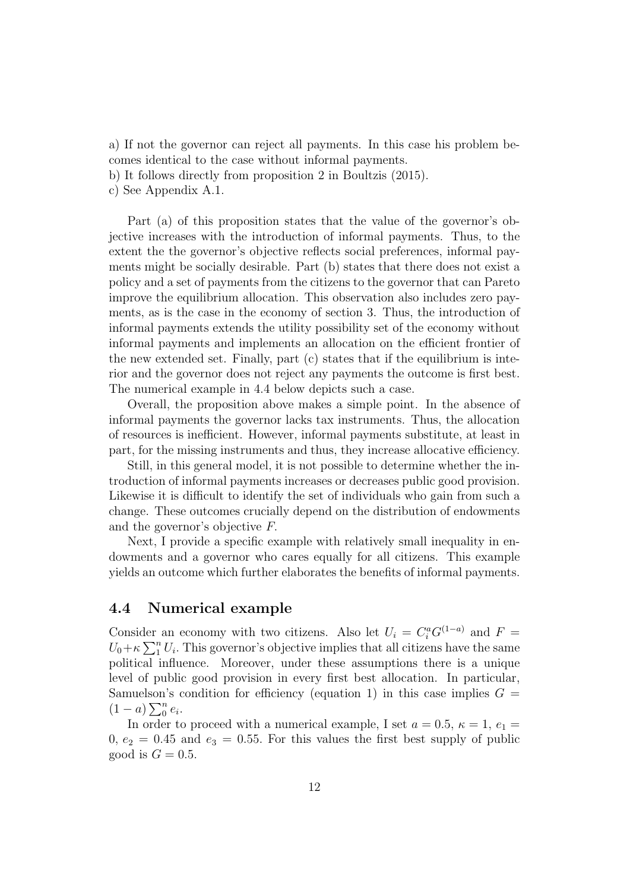a) If not the governor can reject all payments. In this case his problem becomes identical to the case without informal payments.

b) It follows directly from proposition 2 in Boultzis (2015).

c) See Appendix A.1.

Part (a) of this proposition states that the value of the governor's objective increases with the introduction of informal payments. Thus, to the extent the the governor's objective reflects social preferences, informal payments might be socially desirable. Part (b) states that there does not exist a policy and a set of payments from the citizens to the governor that can Pareto improve the equilibrium allocation. This observation also includes zero payments, as is the case in the economy of section 3. Thus, the introduction of informal payments extends the utility possibility set of the economy without informal payments and implements an allocation on the efficient frontier of the new extended set. Finally, part (c) states that if the equilibrium is interior and the governor does not reject any payments the outcome is first best. The numerical example in 4.4 below depicts such a case.

Overall, the proposition above makes a simple point. In the absence of informal payments the governor lacks tax instruments. Thus, the allocation of resources is inefficient. However, informal payments substitute, at least in part, for the missing instruments and thus, they increase allocative efficiency.

Still, in this general model, it is not possible to determine whether the introduction of informal payments increases or decreases public good provision. Likewise it is difficult to identify the set of individuals who gain from such a change. These outcomes crucially depend on the distribution of endowments and the governor's objective F.

Next, I provide a specific example with relatively small inequality in endowments and a governor who cares equally for all citizens. This example yields an outcome which further elaborates the benefits of informal payments.

### 4.4 Numerical example

Consider an economy with two citizens. Also let  $U_i = C_i^a G^{(1-a)}$  and  $F =$  $U_0 + \kappa \sum_{1}^{n} U_i$ . This governor's objective implies that all citizens have the same political influence. Moreover, under these assumptions there is a unique level of public good provision in every first best allocation. In particular, Samuelson's condition for efficiency (equation 1) in this case implies  $G =$  $(1 - a) \sum_{0}^{n} e_i$ .

In order to proceed with a numerical example, I set  $a = 0.5$ ,  $\kappa = 1$ ,  $e_1 =$  $0, e_2 = 0.45$  and  $e_3 = 0.55$ . For this values the first best supply of public good is  $G = 0.5$ .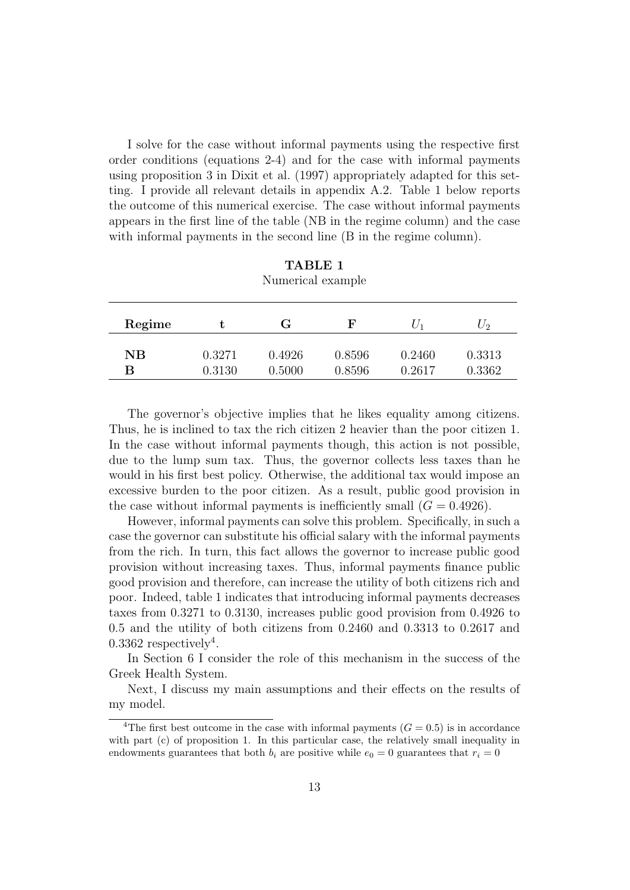I solve for the case without informal payments using the respective first order conditions (equations 2-4) and for the case with informal payments using proposition 3 in Dixit et al. (1997) appropriately adapted for this setting. I provide all relevant details in appendix A.2. Table 1 below reports the outcome of this numerical exercise. The case without informal payments appears in the first line of the table (NB in the regime column) and the case with informal payments in the second line (B in the regime column).

| Regime |        | G      | F      | $U_1$  | $U_2$  |
|--------|--------|--------|--------|--------|--------|
|        |        |        |        |        |        |
| NB     | 0.3271 | 0.4926 | 0.8596 | 0.2460 | 0.3313 |
| В      | 0.3130 | 0.5000 | 0.8596 | 0.2617 | 0.3362 |

TABLE 1 Numerical example

The governor's objective implies that he likes equality among citizens. Thus, he is inclined to tax the rich citizen 2 heavier than the poor citizen 1. In the case without informal payments though, this action is not possible, due to the lump sum tax. Thus, the governor collects less taxes than he would in his first best policy. Otherwise, the additional tax would impose an excessive burden to the poor citizen. As a result, public good provision in the case without informal payments is inefficiently small  $(G = 0.4926)$ .

However, informal payments can solve this problem. Specifically, in such a case the governor can substitute his official salary with the informal payments from the rich. In turn, this fact allows the governor to increase public good provision without increasing taxes. Thus, informal payments finance public good provision and therefore, can increase the utility of both citizens rich and poor. Indeed, table 1 indicates that introducing informal payments decreases taxes from 0.3271 to 0.3130, increases public good provision from 0.4926 to 0.5 and the utility of both citizens from 0.2460 and 0.3313 to 0.2617 and 0.3362 respectively<sup>4</sup>.

In Section 6 I consider the role of this mechanism in the success of the Greek Health System.

Next, I discuss my main assumptions and their effects on the results of my model.

<sup>&</sup>lt;sup>4</sup>The first best outcome in the case with informal payments  $(G = 0.5)$  is in accordance with part (c) of proposition 1. In this particular case, the relatively small inequality in endowments guarantees that both  $b_i$  are positive while  $e_0 = 0$  guarantees that  $r_i = 0$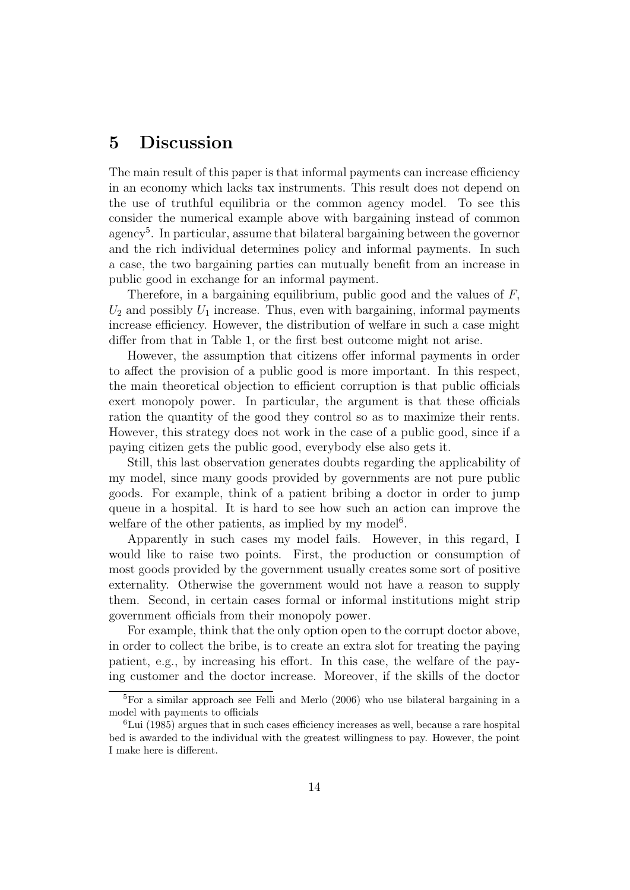## 5 Discussion

The main result of this paper is that informal payments can increase efficiency in an economy which lacks tax instruments. This result does not depend on the use of truthful equilibria or the common agency model. To see this consider the numerical example above with bargaining instead of common agency<sup>5</sup>. In particular, assume that bilateral bargaining between the governor and the rich individual determines policy and informal payments. In such a case, the two bargaining parties can mutually benefit from an increase in public good in exchange for an informal payment.

Therefore, in a bargaining equilibrium, public good and the values of F,  $U_2$  and possibly  $U_1$  increase. Thus, even with bargaining, informal payments increase efficiency. However, the distribution of welfare in such a case might differ from that in Table 1, or the first best outcome might not arise.

However, the assumption that citizens offer informal payments in order to affect the provision of a public good is more important. In this respect, the main theoretical objection to efficient corruption is that public officials exert monopoly power. In particular, the argument is that these officials ration the quantity of the good they control so as to maximize their rents. However, this strategy does not work in the case of a public good, since if a paying citizen gets the public good, everybody else also gets it.

Still, this last observation generates doubts regarding the applicability of my model, since many goods provided by governments are not pure public goods. For example, think of a patient bribing a doctor in order to jump queue in a hospital. It is hard to see how such an action can improve the welfare of the other patients, as implied by my model<sup>6</sup>.

Apparently in such cases my model fails. However, in this regard, I would like to raise two points. First, the production or consumption of most goods provided by the government usually creates some sort of positive externality. Otherwise the government would not have a reason to supply them. Second, in certain cases formal or informal institutions might strip government officials from their monopoly power.

For example, think that the only option open to the corrupt doctor above, in order to collect the bribe, is to create an extra slot for treating the paying patient, e.g., by increasing his effort. In this case, the welfare of the paying customer and the doctor increase. Moreover, if the skills of the doctor

<sup>5</sup>For a similar approach see Felli and Merlo (2006) who use bilateral bargaining in a model with payments to officials

 ${}^{6}$ Lui (1985) argues that in such cases efficiency increases as well, because a rare hospital bed is awarded to the individual with the greatest willingness to pay. However, the point I make here is different.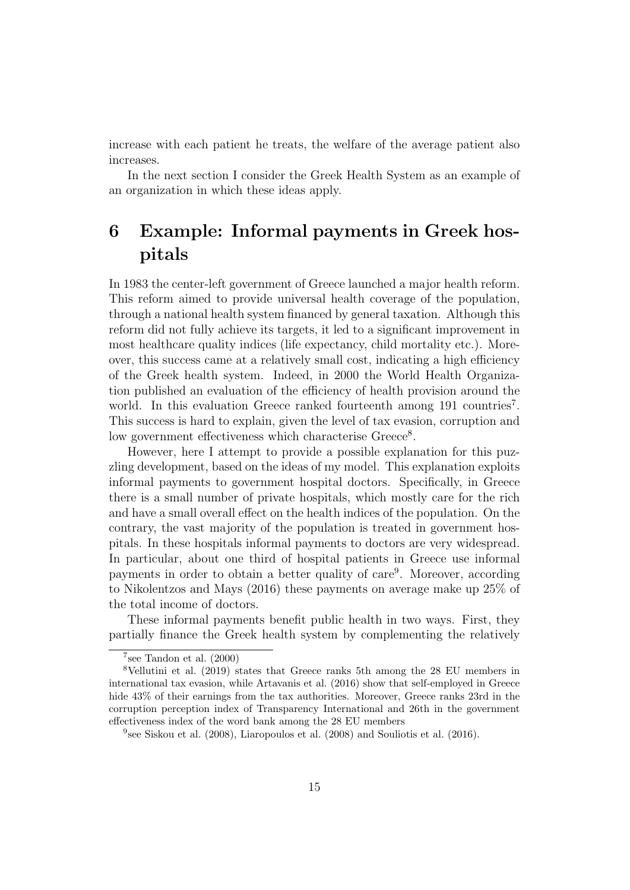increase with each patient he treats, the welfare of the average patient also increases.

In the next section I consider the Greek Health System as an example of an organization in which these ideas apply.

## 6 Example: Informal payments in Greek hospitals

In 1983 the center-left government of Greece launched a major health reform. This reform aimed to provide universal health coverage of the population, through a national health system financed by general taxation. Although this reform did not fully achieve its targets, it led to a significant improvement in most healthcare quality indices (life expectancy, child mortality etc.). Moreover, this success came at a relatively small cost, indicating a high efficiency of the Greek health system. Indeed, in 2000 the World Health Organization published an evaluation of the efficiency of health provision around the world. In this evaluation Greece ranked fourteenth among 191 countries<sup>7</sup>. This success is hard to explain, given the level of tax evasion, corruption and low government effectiveness which characterise Greece<sup>8</sup>.

However, here I attempt to provide a possible explanation for this puzzling development, based on the ideas of my model. This explanation exploits informal payments to government hospital doctors. Specifically, in Greece there is a small number of private hospitals, which mostly care for the rich and have a small overall effect on the health indices of the population. On the contrary, the vast majority of the population is treated in government hospitals. In these hospitals informal payments to doctors are very widespread. In particular, about one third of hospital patients in Greece use informal payments in order to obtain a better quality of care<sup>9</sup>. Moreover, according to Nikolentzos and Mays (2016) these payments on average make up 25% of the total income of doctors.

These informal payments benefit public health in two ways. First, they partially finance the Greek health system by complementing the relatively

 $7$ see Tandon et al.  $(2000)$ 

<sup>8</sup>Vellutini et al. (2019) states that Greece ranks 5th among the 28 EU members in international tax evasion, while Artavanis et al. (2016) show that self-employed in Greece hide  $43\%$  of their earnings from the tax authorities. Moreover, Greece ranks 23rd in the corruption perception index of Transparency International and 26th in the government effectiveness index of the word bank among the 28 EU members

<sup>9</sup> see Siskou et al. (2008), Liaropoulos et al. (2008) and Souliotis et al. (2016).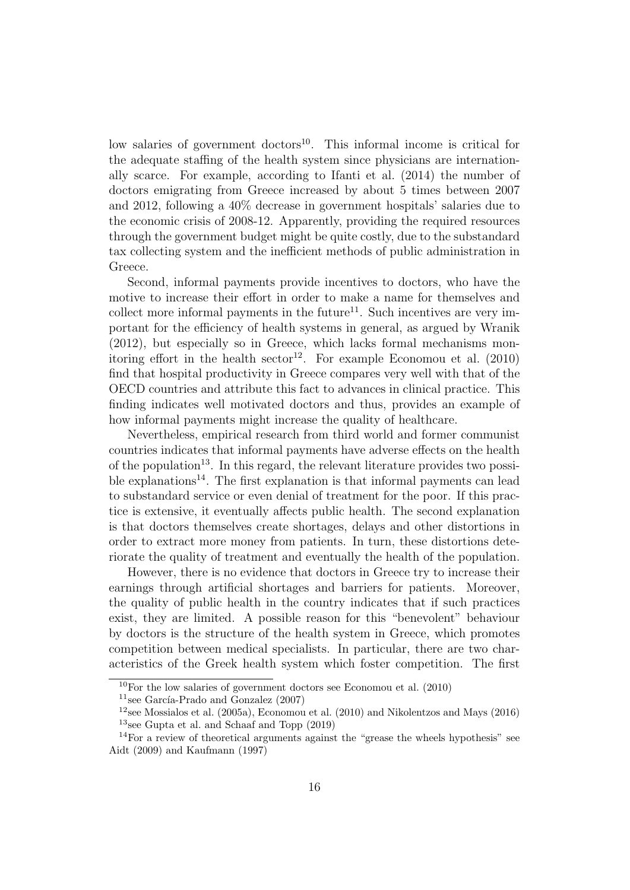low salaries of government doctors<sup>10</sup>. This informal income is critical for the adequate staffing of the health system since physicians are internationally scarce. For example, according to Ifanti et al. (2014) the number of doctors emigrating from Greece increased by about 5 times between 2007 and 2012, following a 40% decrease in government hospitals' salaries due to the economic crisis of 2008-12. Apparently, providing the required resources through the government budget might be quite costly, due to the substandard tax collecting system and the inefficient methods of public administration in Greece.

Second, informal payments provide incentives to doctors, who have the motive to increase their effort in order to make a name for themselves and collect more informal payments in the future<sup>11</sup>. Such incentives are very important for the efficiency of health systems in general, as argued by Wranik (2012), but especially so in Greece, which lacks formal mechanisms monitoring effort in the health sector<sup>12</sup>. For example Economou et al.  $(2010)$ find that hospital productivity in Greece compares very well with that of the OECD countries and attribute this fact to advances in clinical practice. This finding indicates well motivated doctors and thus, provides an example of how informal payments might increase the quality of healthcare.

Nevertheless, empirical research from third world and former communist countries indicates that informal payments have adverse effects on the health of the population<sup>13</sup>. In this regard, the relevant literature provides two possible explanations<sup>14</sup>. The first explanation is that informal payments can lead to substandard service or even denial of treatment for the poor. If this practice is extensive, it eventually affects public health. The second explanation is that doctors themselves create shortages, delays and other distortions in order to extract more money from patients. In turn, these distortions deteriorate the quality of treatment and eventually the health of the population.

However, there is no evidence that doctors in Greece try to increase their earnings through artificial shortages and barriers for patients. Moreover, the quality of public health in the country indicates that if such practices exist, they are limited. A possible reason for this "benevolent" behaviour by doctors is the structure of the health system in Greece, which promotes competition between medical specialists. In particular, there are two characteristics of the Greek health system which foster competition. The first

<sup>11</sup>see García-Prado and Gonzalez  $(2007)$ 

 $10$ For the low salaries of government doctors see Economou et al. (2010)

<sup>&</sup>lt;sup>12</sup>see Mossialos et al. (2005a), Economou et al. (2010) and Nikolentzos and Mays (2016)  $13$ see Gupta et al. and Schaaf and Topp (2019)

<sup>&</sup>lt;sup>14</sup>For a review of theoretical arguments against the "grease the wheels hypothesis" see Aidt (2009) and Kaufmann (1997)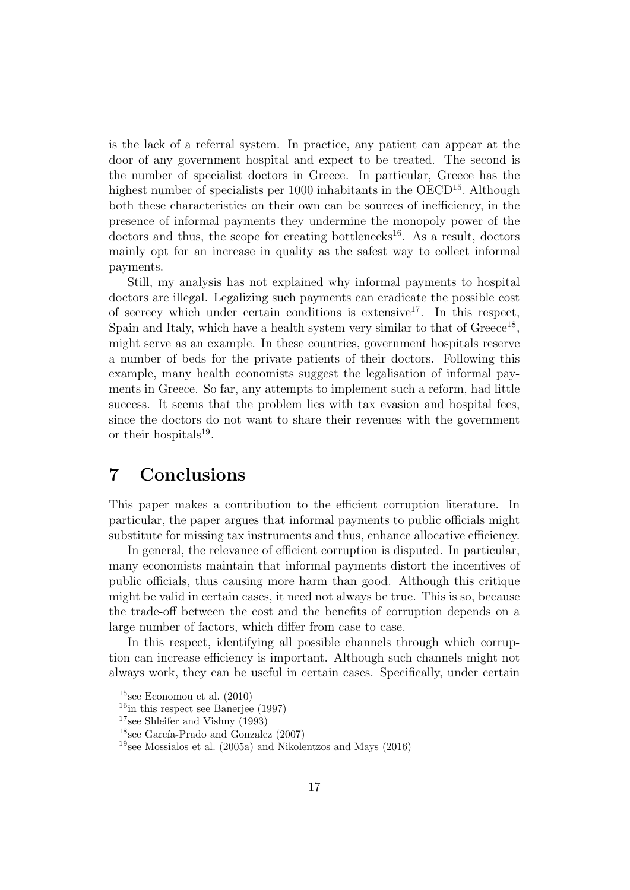is the lack of a referral system. In practice, any patient can appear at the door of any government hospital and expect to be treated. The second is the number of specialist doctors in Greece. In particular, Greece has the highest number of specialists per 1000 inhabitants in the OECD<sup>15</sup>. Although both these characteristics on their own can be sources of inefficiency, in the presence of informal payments they undermine the monopoly power of the  $dotors$  and thus, the scope for creating bottlenecks<sup>16</sup>. As a result, doctors mainly opt for an increase in quality as the safest way to collect informal payments.

Still, my analysis has not explained why informal payments to hospital doctors are illegal. Legalizing such payments can eradicate the possible cost of secrecy which under certain conditions is extensive<sup>17</sup>. In this respect, Spain and Italy, which have a health system very similar to that of Greece<sup>18</sup>, might serve as an example. In these countries, government hospitals reserve a number of beds for the private patients of their doctors. Following this example, many health economists suggest the legalisation of informal payments in Greece. So far, any attempts to implement such a reform, had little success. It seems that the problem lies with tax evasion and hospital fees, since the doctors do not want to share their revenues with the government or their hospitals $19$ .

## 7 Conclusions

This paper makes a contribution to the efficient corruption literature. In particular, the paper argues that informal payments to public officials might substitute for missing tax instruments and thus, enhance allocative efficiency.

In general, the relevance of efficient corruption is disputed. In particular, many economists maintain that informal payments distort the incentives of public officials, thus causing more harm than good. Although this critique might be valid in certain cases, it need not always be true. This is so, because the trade-off between the cost and the benefits of corruption depends on a large number of factors, which differ from case to case.

In this respect, identifying all possible channels through which corruption can increase efficiency is important. Although such channels might not always work, they can be useful in certain cases. Specifically, under certain

 $15$ see Economou et al.  $(2010)$ 

 $16$ in this respect see Banerjee (1997)

<sup>17</sup>see Shleifer and Vishny (1993)

 $18$ see García-Prado and Gonzalez (2007)

<sup>&</sup>lt;sup>19</sup>see Mossialos et al. (2005a) and Nikolentzos and Mays (2016)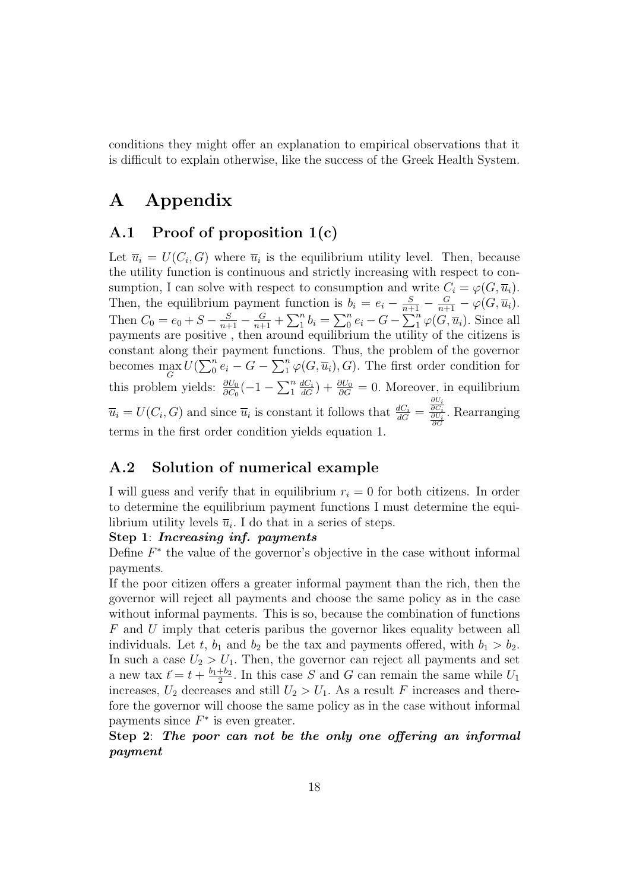conditions they might offer an explanation to empirical observations that it is difficult to explain otherwise, like the success of the Greek Health System.

## A Appendix

### A.1 Proof of proposition 1(c)

Let  $\overline{u}_i = U(C_i, G)$  where  $\overline{u}_i$  is the equilibrium utility level. Then, because the utility function is continuous and strictly increasing with respect to consumption, I can solve with respect to consumption and write  $C_i = \varphi(G, \overline{u}_i)$ . Then, the equilibrium payment function is  $b_i = e_i - \frac{S}{n+1} - \frac{G}{n+1} - \varphi(G, \overline{u}_i)$ . Then  $C_0 = e_0 + S - \frac{S}{n+1} - \frac{G}{n+1} + \sum_{i=1}^{n} b_i = \sum_{i=0}^{n} e_i - G - \sum_{i=1}^{n} \varphi(G, \overline{u}_i)$ . Since all payments are positive , then around equilibrium the utility of the citizens is constant along their payment functions. Thus, the problem of the governor becomes  $\max_{G} U(\sum_{0}^{n} e_i - G - \sum_{1}^{n} \varphi(G, \overline{u}_i), G)$ . The first order condition for this problem yields:  $\frac{\partial U_0}{\partial C_0}(-1 - \sum_{i=1}^n \frac{dC_i}{dG}) + \frac{\partial U_0}{\partial G} = 0$ . Moreover, in equilibrium  $\overline{u}_i = U(C_i, G)$  and since  $\overline{u}_i$  is constant it follows that  $\frac{dC_i}{dG}$  $\frac{\partial U_i}{\partial C_i} \overline{\frac{\partial U_i}{\partial G}}$ . Rearranging terms in the first order condition yields equation 1.

## A.2 Solution of numerical example

I will guess and verify that in equilibrium  $r_i = 0$  for both citizens. In order to determine the equilibrium payment functions I must determine the equilibrium utility levels  $\overline{u}_i$ . I do that in a series of steps.

#### Step 1: Increasing inf. payments

Define  $F^*$  the value of the governor's objective in the case without informal payments.

If the poor citizen offers a greater informal payment than the rich, then the governor will reject all payments and choose the same policy as in the case without informal payments. This is so, because the combination of functions F and U imply that ceteris paribus the governor likes equality between all individuals. Let t,  $b_1$  and  $b_2$  be the tax and payments offered, with  $b_1 > b_2$ . In such a case  $U_2 > U_1$ . Then, the governor can reject all payments and set a new tax  $t' = t + \frac{b_1 + b_2}{2}$  $\frac{+b_2}{2}$ . In this case S and G can remain the same while  $U_1$ increases,  $U_2$  decreases and still  $U_2 > U_1$ . As a result F increases and therefore the governor will choose the same policy as in the case without informal payments since  $F^*$  is even greater.

### Step 2: The poor can not be the only one offering an informal payment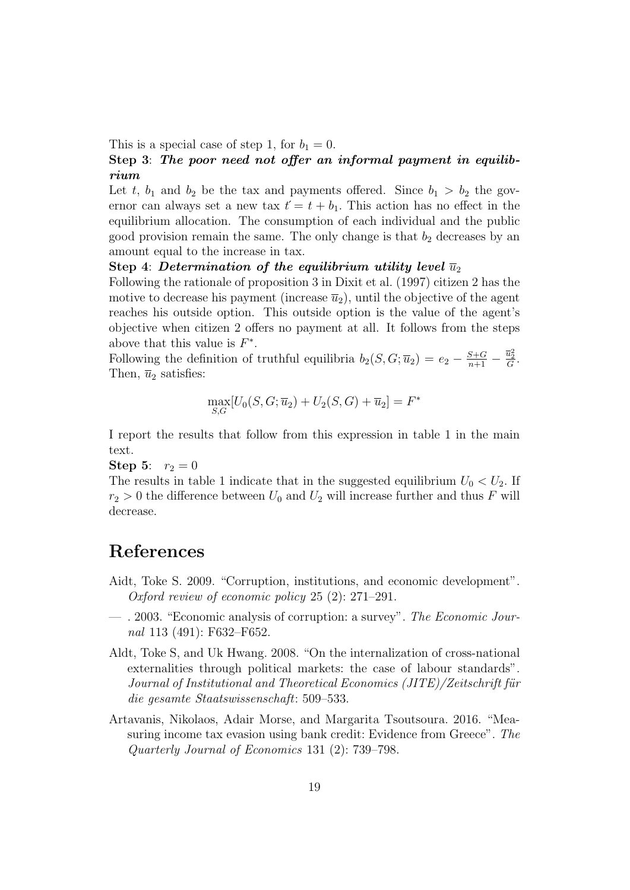This is a special case of step 1, for  $b_1 = 0$ .

### Step 3: The poor need not offer an informal payment in equilibrium

Let t,  $b_1$  and  $b_2$  be the tax and payments offered. Since  $b_1 > b_2$  the governor can always set a new tax  $t' = t + b_1$ . This action has no effect in the equilibrium allocation. The consumption of each individual and the public good provision remain the same. The only change is that  $b_2$  decreases by an amount equal to the increase in tax.

#### Step 4: Determination of the equilibrium utility level  $\overline{u}_2$

Following the rationale of proposition 3 in Dixit et al. (1997) citizen 2 has the motive to decrease his payment (increase  $\overline{u}_2$ ), until the objective of the agent reaches his outside option. This outside option is the value of the agent's objective when citizen 2 offers no payment at all. It follows from the steps above that this value is  $F^*$ .

Following the definition of truthful equilibria  $b_2(S, G; \overline{u}_2) = e_2 - \frac{S+G}{n+1} - \frac{\overline{u}_2^2}{G}$ . Then,  $\bar{u}_2$  satisfies:

$$
\max_{S,G}[U_0(S,G;\overline{u}_2)+U_2(S,G)+\overline{u}_2]=F^*
$$

I report the results that follow from this expression in table 1 in the main text.

**Step 5:**  $r_2 = 0$ 

The results in table 1 indicate that in the suggested equilibrium  $U_0 < U_2$ . If  $r_2 > 0$  the difference between  $U_0$  and  $U_2$  will increase further and thus F will decrease.

## References

- Aidt, Toke S. 2009. "Corruption, institutions, and economic development". Oxford review of economic policy 25 (2): 271–291.
- . 2003. "Economic analysis of corruption: a survey". The Economic Journal 113 (491): F632–F652.
- Aldt, Toke S, and Uk Hwang. 2008. "On the internalization of cross-national externalities through political markets: the case of labour standards". Journal of Institutional and Theoretical Economics (JITE)/Zeitschrift für die gesamte Staatswissenschaft: 509–533.
- Artavanis, Nikolaos, Adair Morse, and Margarita Tsoutsoura. 2016. "Measuring income tax evasion using bank credit: Evidence from Greece". The Quarterly Journal of Economics 131 (2): 739–798.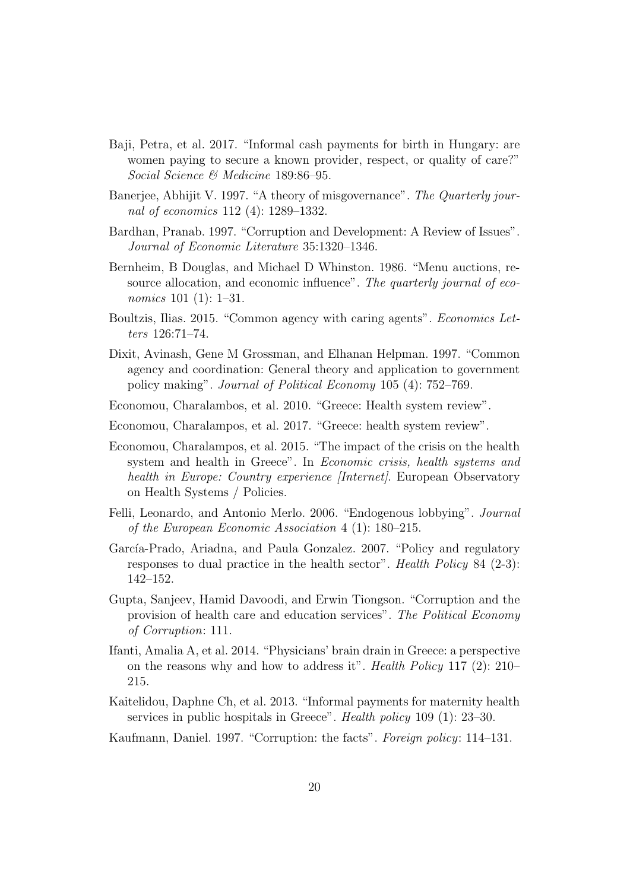- Baji, Petra, et al. 2017. "Informal cash payments for birth in Hungary: are women paying to secure a known provider, respect, or quality of care?" Social Science & Medicine 189:86–95.
- Banerjee, Abhijit V. 1997. "A theory of misgovernance". The Quarterly journal of economics 112 (4): 1289–1332.
- Bardhan, Pranab. 1997. "Corruption and Development: A Review of Issues". Journal of Economic Literature 35:1320–1346.
- Bernheim, B Douglas, and Michael D Whinston. 1986. "Menu auctions, resource allocation, and economic influence". The quarterly journal of economics 101 (1): 1–31.
- Boultzis, Ilias. 2015. "Common agency with caring agents". Economics Letters 126:71–74.
- Dixit, Avinash, Gene M Grossman, and Elhanan Helpman. 1997. "Common agency and coordination: General theory and application to government policy making". Journal of Political Economy 105 (4): 752–769.
- Economou, Charalambos, et al. 2010. "Greece: Health system review".
- Economou, Charalampos, et al. 2017. "Greece: health system review".
- Economou, Charalampos, et al. 2015. "The impact of the crisis on the health system and health in Greece". In Economic crisis, health systems and health in Europe: Country experience *[Internet]*. European Observatory on Health Systems / Policies.
- Felli, Leonardo, and Antonio Merlo. 2006. "Endogenous lobbying". Journal of the European Economic Association 4 (1): 180–215.
- García-Prado, Ariadna, and Paula Gonzalez. 2007. "Policy and regulatory responses to dual practice in the health sector". Health Policy 84 (2-3): 142–152.
- Gupta, Sanjeev, Hamid Davoodi, and Erwin Tiongson. "Corruption and the provision of health care and education services". The Political Economy of Corruption: 111.
- Ifanti, Amalia A, et al. 2014. "Physicians' brain drain in Greece: a perspective on the reasons why and how to address it". Health Policy 117 (2):  $210-$ 215.
- Kaitelidou, Daphne Ch, et al. 2013. "Informal payments for maternity health services in public hospitals in Greece". Health policy 109 (1): 23–30.
- Kaufmann, Daniel. 1997. "Corruption: the facts". Foreign policy: 114–131.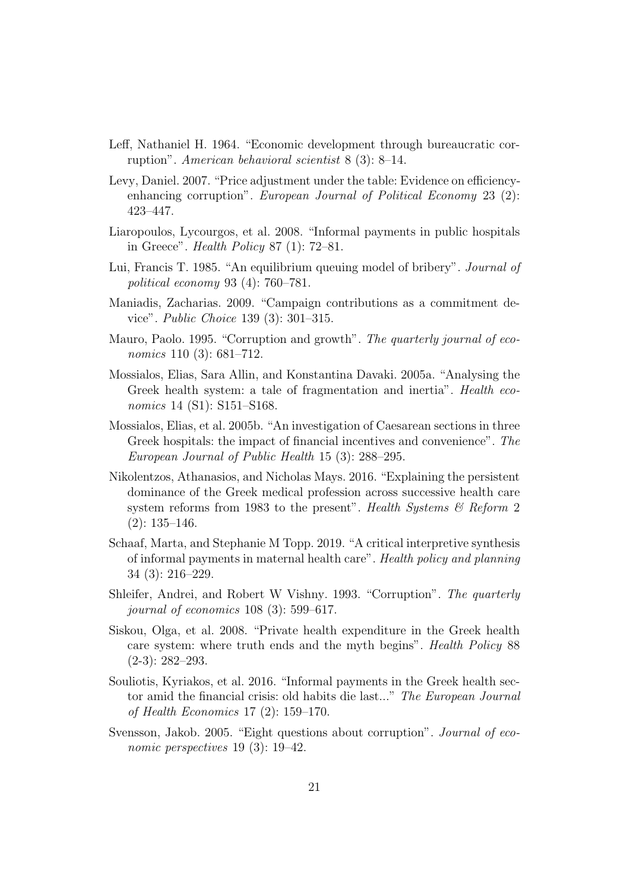- Leff, Nathaniel H. 1964. "Economic development through bureaucratic corruption". American behavioral scientist 8 (3): 8–14.
- Levy, Daniel. 2007. "Price adjustment under the table: Evidence on efficiencyenhancing corruption". European Journal of Political Economy 23 (2): 423–447.
- Liaropoulos, Lycourgos, et al. 2008. "Informal payments in public hospitals in Greece". Health Policy 87 (1): 72–81.
- Lui, Francis T. 1985. "An equilibrium queuing model of bribery". Journal of political economy 93 (4): 760–781.
- Maniadis, Zacharias. 2009. "Campaign contributions as a commitment device". Public Choice 139 (3): 301–315.
- Mauro, Paolo. 1995. "Corruption and growth". The quarterly journal of economics 110 (3): 681–712.
- Mossialos, Elias, Sara Allin, and Konstantina Davaki. 2005a. "Analysing the Greek health system: a tale of fragmentation and inertia". Health economics 14 (S1): S151–S168.
- Mossialos, Elias, et al. 2005b. "An investigation of Caesarean sections in three Greek hospitals: the impact of financial incentives and convenience". The European Journal of Public Health 15 (3): 288–295.
- Nikolentzos, Athanasios, and Nicholas Mays. 2016. "Explaining the persistent dominance of the Greek medical profession across successive health care system reforms from 1983 to the present". Health Systems  $\mathcal{B}$  Reform 2 (2): 135–146.
- Schaaf, Marta, and Stephanie M Topp. 2019. "A critical interpretive synthesis of informal payments in maternal health care". Health policy and planning 34 (3): 216–229.
- Shleifer, Andrei, and Robert W Vishny. 1993. "Corruption". The quarterly journal of economics 108 (3): 599–617.
- Siskou, Olga, et al. 2008. "Private health expenditure in the Greek health care system: where truth ends and the myth begins". Health Policy 88 (2-3): 282–293.
- Souliotis, Kyriakos, et al. 2016. "Informal payments in the Greek health sector amid the financial crisis: old habits die last..." The European Journal of Health Economics 17 (2): 159–170.
- Svensson, Jakob. 2005. "Eight questions about corruption". Journal of economic perspectives 19 (3): 19–42.